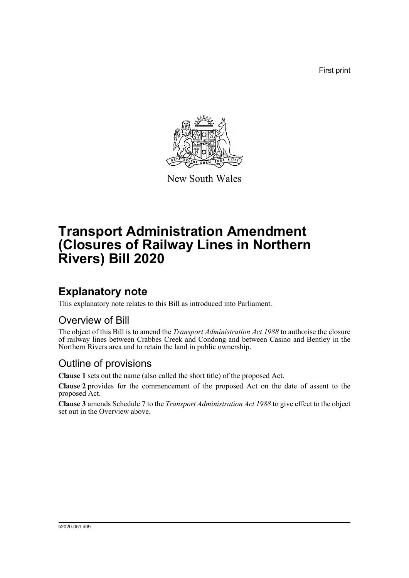First print



New South Wales

# **Transport Administration Amendment (Closures of Railway Lines in Northern Rivers) Bill 2020**

## **Explanatory note**

This explanatory note relates to this Bill as introduced into Parliament.

#### Overview of Bill

The object of this Bill is to amend the *Transport Administration Act 1988* to authorise the closure of railway lines between Crabbes Creek and Condong and between Casino and Bentley in the Northern Rivers area and to retain the land in public ownership.

### Outline of provisions

**Clause 1** sets out the name (also called the short title) of the proposed Act.

**Clause 2** provides for the commencement of the proposed Act on the date of assent to the proposed Act.

**Clause 3** amends Schedule 7 to the *Transport Administration Act 1988* to give effect to the object set out in the Overview above.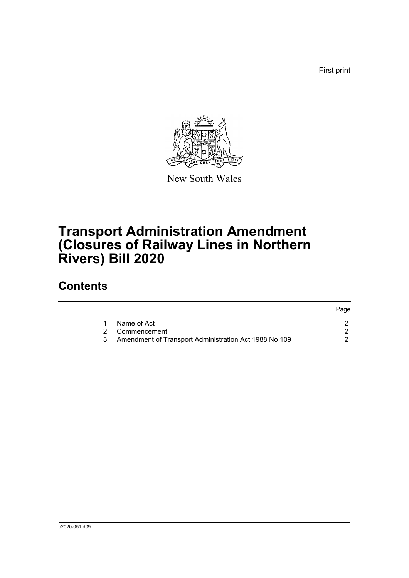First print



New South Wales

# **Transport Administration Amendment (Closures of Railway Lines in Northern Rivers) Bill 2020**

### **Contents**

|                                                         | Page |
|---------------------------------------------------------|------|
| Name of Act                                             |      |
| 2 Commencement                                          |      |
| 3 Amendment of Transport Administration Act 1988 No 109 |      |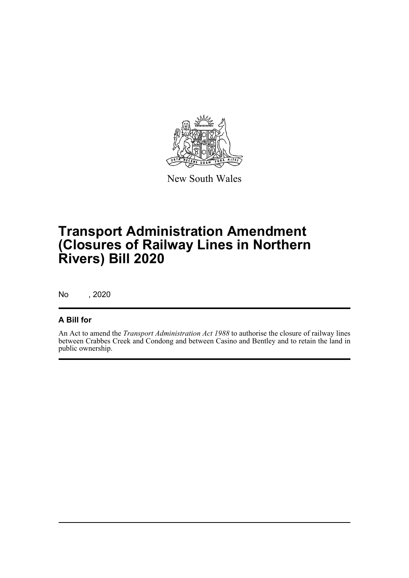

New South Wales

# **Transport Administration Amendment (Closures of Railway Lines in Northern Rivers) Bill 2020**

No , 2020

#### **A Bill for**

An Act to amend the *Transport Administration Act 1988* to authorise the closure of railway lines between Crabbes Creek and Condong and between Casino and Bentley and to retain the land in public ownership.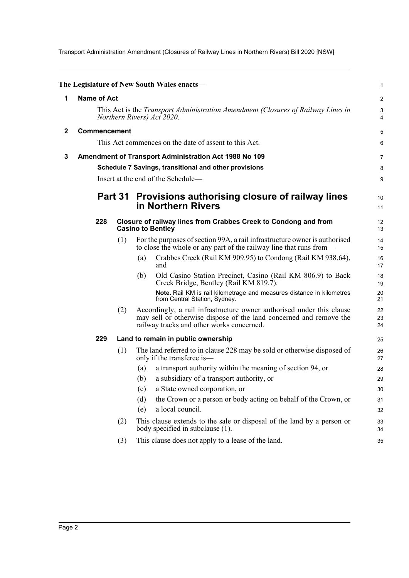Transport Administration Amendment (Closures of Railway Lines in Northern Rivers) Bill 2020 [NSW]

<span id="page-3-2"></span><span id="page-3-1"></span><span id="page-3-0"></span>

|              |                                                                                                                       |     | The Legislature of New South Wales enacts—                                                                                                                                               | $\mathbf{1}$     |  |
|--------------|-----------------------------------------------------------------------------------------------------------------------|-----|------------------------------------------------------------------------------------------------------------------------------------------------------------------------------------------|------------------|--|
| 1            | <b>Name of Act</b>                                                                                                    |     |                                                                                                                                                                                          | $\boldsymbol{2}$ |  |
|              | This Act is the <i>Transport Administration Amendment (Closures of Railway Lines in</i><br>Northern Rivers) Act 2020. |     |                                                                                                                                                                                          |                  |  |
| $\mathbf{2}$ | Commencement                                                                                                          |     |                                                                                                                                                                                          | 5                |  |
|              |                                                                                                                       |     | This Act commences on the date of assent to this Act.                                                                                                                                    | 6                |  |
| 3            |                                                                                                                       |     | Amendment of Transport Administration Act 1988 No 109                                                                                                                                    | 7                |  |
|              |                                                                                                                       |     | Schedule 7 Savings, transitional and other provisions                                                                                                                                    | 8                |  |
|              |                                                                                                                       |     | Insert at the end of the Schedule-                                                                                                                                                       | 9                |  |
|              | Part 31                                                                                                               |     | Provisions authorising closure of railway lines<br>in Northern Rivers                                                                                                                    | 10<br>11         |  |
|              | 228                                                                                                                   |     | Closure of railway lines from Crabbes Creek to Condong and from<br><b>Casino to Bentley</b>                                                                                              | 12<br>13         |  |
|              |                                                                                                                       | (1) | For the purposes of section 99A, a rail infrastructure owner is authorised<br>to close the whole or any part of the railway line that runs from-                                         | 14<br>15         |  |
|              |                                                                                                                       |     | Crabbes Creek (Rail KM 909.95) to Condong (Rail KM 938.64),<br>(a)<br>and                                                                                                                | 16<br>17         |  |
|              |                                                                                                                       |     | Old Casino Station Precinct, Casino (Rail KM 806.9) to Back<br>(b)<br>Creek Bridge, Bentley (Rail KM 819.7).                                                                             | 18<br>19         |  |
|              |                                                                                                                       |     | Note. Rail KM is rail kilometrage and measures distance in kilometres<br>from Central Station, Sydney.                                                                                   | 20<br>21         |  |
|              |                                                                                                                       | (2) | Accordingly, a rail infrastructure owner authorised under this clause<br>may sell or otherwise dispose of the land concerned and remove the<br>railway tracks and other works concerned. | 22<br>23<br>24   |  |
|              | 229                                                                                                                   |     | Land to remain in public ownership                                                                                                                                                       | 25               |  |
|              |                                                                                                                       | (1) | The land referred to in clause 228 may be sold or otherwise disposed of<br>only if the transferee is-                                                                                    | 26<br>27         |  |
|              |                                                                                                                       |     | a transport authority within the meaning of section 94, or<br>(a)                                                                                                                        | 28               |  |
|              |                                                                                                                       |     | a subsidiary of a transport authority, or<br>(b)                                                                                                                                         | 29               |  |
|              |                                                                                                                       |     | a State owned corporation, or<br>(c)                                                                                                                                                     | 30               |  |
|              |                                                                                                                       |     | the Crown or a person or body acting on behalf of the Crown, or<br>(d)                                                                                                                   | 31               |  |
|              |                                                                                                                       |     | a local council.<br>(e)                                                                                                                                                                  | 32               |  |
|              |                                                                                                                       | (2) | This clause extends to the sale or disposal of the land by a person or<br>body specified in subclause (1).                                                                               | 33<br>34         |  |
|              |                                                                                                                       | (3) | This clause does not apply to a lease of the land.                                                                                                                                       | 35               |  |